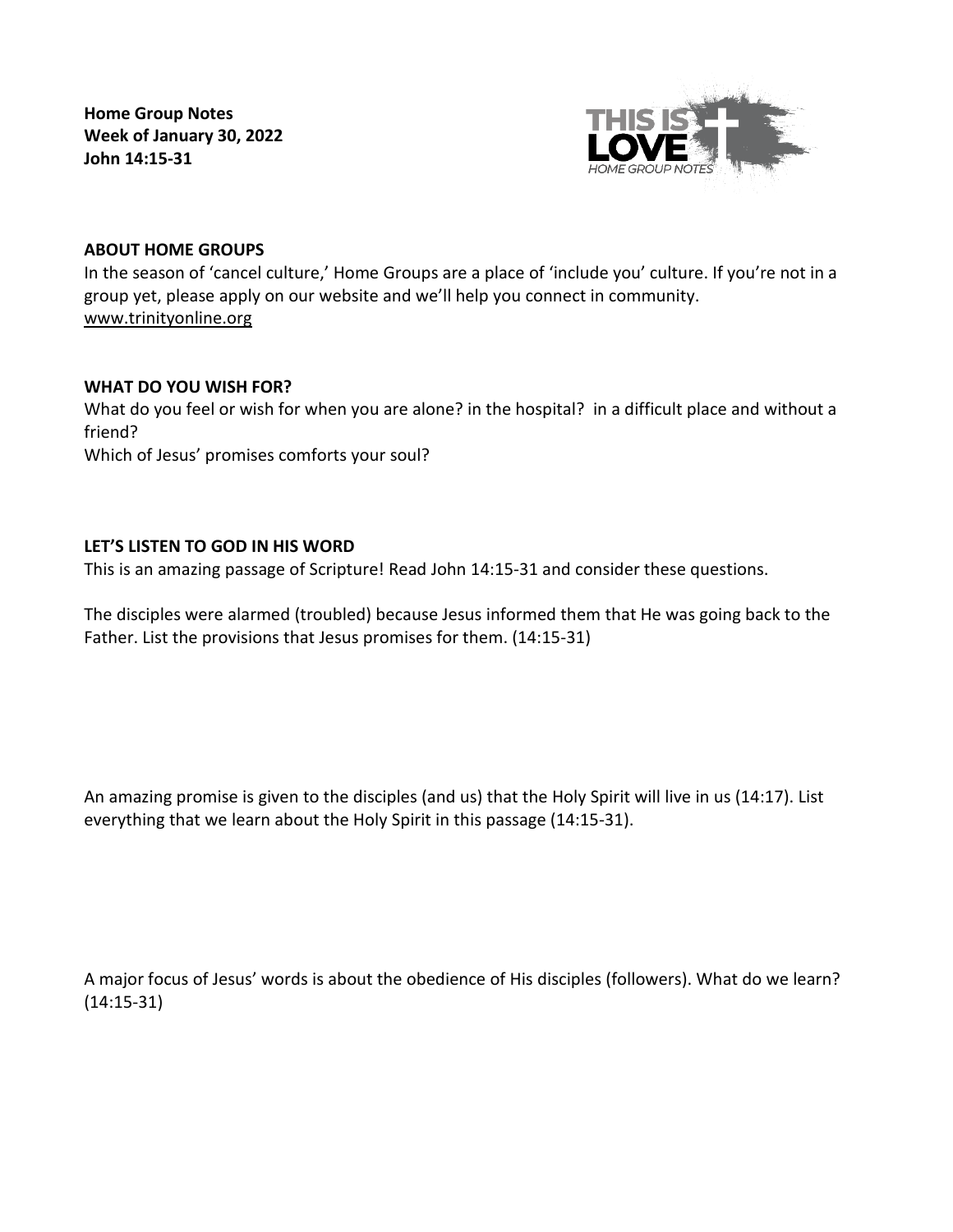**Home Group Notes Week of January 30, 2022 John 14:15-31**



# **ABOUT HOME GROUPS**

In the season of 'cancel culture,' Home Groups are a place of 'include you' culture. If you're not in a group yet, please apply on our website and we'll help you connect in community. [www.trinityonline.org](http://www.trinityonline.org/)

### **WHAT DO YOU WISH FOR?**

What do you feel or wish for when you are alone? in the hospital? in a difficult place and without a friend? Which of Jesus' promises comforts your soul?

# **LET'S LISTEN TO GOD IN HIS WORD**

This is an amazing passage of Scripture! Read John 14:15-31 and consider these questions.

The disciples were alarmed (troubled) because Jesus informed them that He was going back to the Father. List the provisions that Jesus promises for them. (14:15-31)

An amazing promise is given to the disciples (and us) that the Holy Spirit will live in us (14:17). List everything that we learn about the Holy Spirit in this passage (14:15-31).

A major focus of Jesus' words is about the obedience of His disciples (followers). What do we learn? (14:15-31)